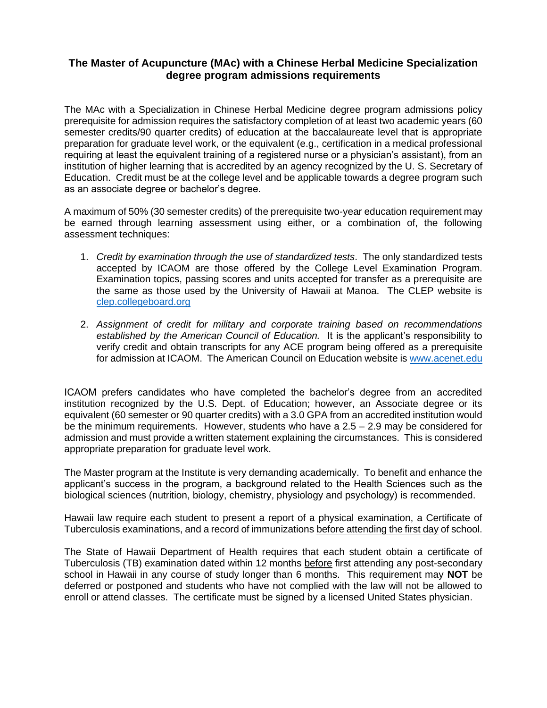## **The Master of Acupuncture (MAc) with a Chinese Herbal Medicine Specialization degree program admissions requirements**

The MAc with a Specialization in Chinese Herbal Medicine degree program admissions policy prerequisite for admission requires the satisfactory completion of at least two academic years (60 semester credits/90 quarter credits) of education at the baccalaureate level that is appropriate preparation for graduate level work, or the equivalent (e.g., certification in a medical professional requiring at least the equivalent training of a registered nurse or a physician's assistant), from an institution of higher learning that is accredited by an agency recognized by the U. S. Secretary of Education. Credit must be at the college level and be applicable towards a degree program such as an associate degree or bachelor's degree.

A maximum of 50% (30 semester credits) of the prerequisite two-year education requirement may be earned through learning assessment using either, or a combination of, the following assessment techniques:

- 1. *Credit by examination through the use of standardized tests*. The only standardized tests accepted by ICAOM are those offered by the College Level Examination Program. Examination topics, passing scores and units accepted for transfer as a prerequisite are the same as those used by the University of Hawaii at Manoa. The CLEP website is [clep.collegeboard.org](mailto:clep@collegeboard.org)
- 2. *Assignment of credit for military and corporate training based on recommendations established by the American Council of Education.* It is the applicant's responsibility to verify credit and obtain transcripts for any ACE program being offered as a prerequisite for admission at ICAOM. The American Council on Education website i[s www.acenet.edu](http://www.acenet.edu/)

ICAOM prefers candidates who have completed the bachelor's degree from an accredited institution recognized by the U.S. Dept. of Education; however, an Associate degree or its equivalent (60 semester or 90 quarter credits) with a 3.0 GPA from an accredited institution would be the minimum requirements. However, students who have a 2.5 – 2.9 may be considered for admission and must provide a written statement explaining the circumstances. This is considered appropriate preparation for graduate level work.

The Master program at the Institute is very demanding academically. To benefit and enhance the applicant's success in the program, a background related to the Health Sciences such as the biological sciences (nutrition, biology, chemistry, physiology and psychology) is recommended.

Hawaii law require each student to present a report of a physical examination, a Certificate of Tuberculosis examinations, and a record of immunizations before attending the first day of school.

The State of Hawaii Department of Health requires that each student obtain a certificate of Tuberculosis (TB) examination dated within 12 months before first attending any post-secondary school in Hawaii in any course of study longer than 6 months. This requirement may **NOT** be deferred or postponed and students who have not complied with the law will not be allowed to enroll or attend classes. The certificate must be signed by a licensed United States physician.